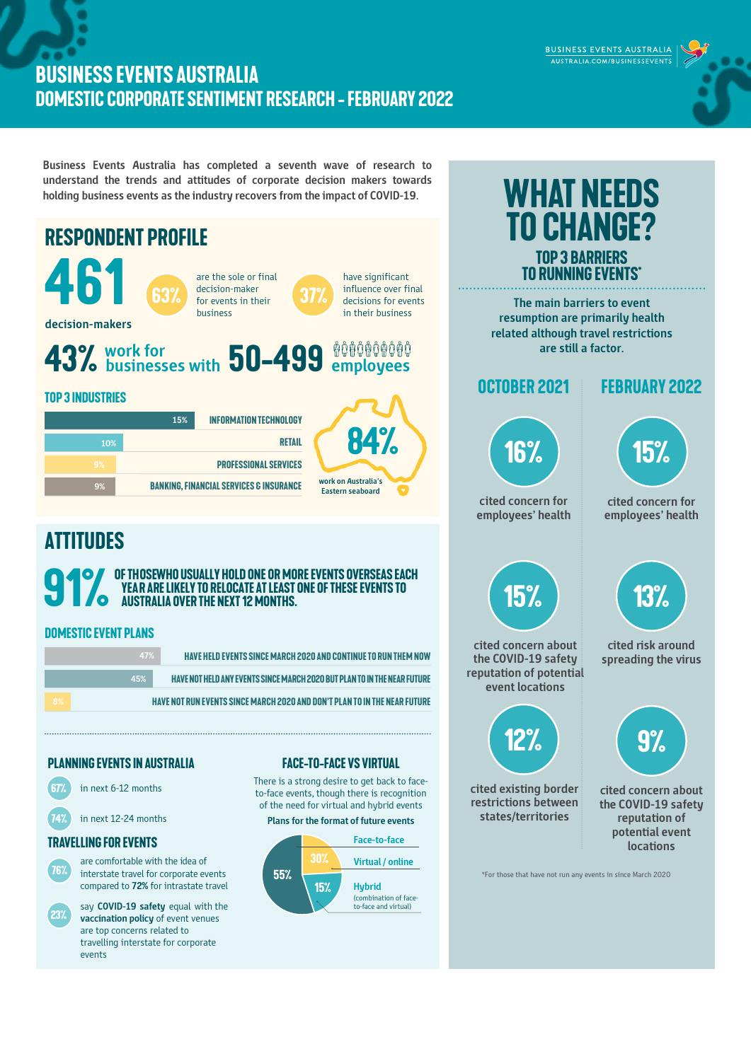## **BUSINESS EVENTS AUSTRALIA DOMESTIC CORPORATE SENTIMENT RESEARCH -february 2022**

**Business Events Australia has completed a seventh wave of research to understand the trends and attitudes of corporate decision makers towards holding business events as the industry recovers from the impact of COVID-19.** 



BUSINESS EVENTS AUSTRALIA AUSTRALIA.COM/BUSINESSEVENTS



**13%**

**cited risk around spreading the virus**



**cited concern about the COVID-19 safety reputation of potential event locations**

\*For those that have not run any events in since March 2020